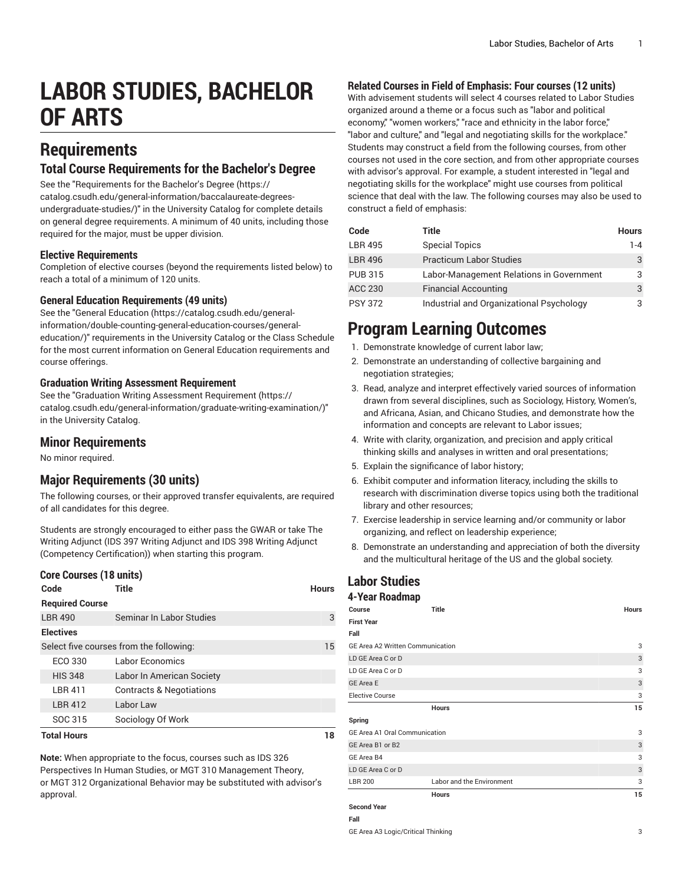# **LABOR STUDIES, BACHELOR OF ARTS**

# **Requirements**

# **Total Course Requirements for the Bachelor's Degree**

See the "[Requirements](https://catalog.csudh.edu/general-information/baccalaureate-degrees-undergraduate-studies/) for the Bachelor's Degree [\(https://](https://catalog.csudh.edu/general-information/baccalaureate-degrees-undergraduate-studies/)

[catalog.csudh.edu/general-information/baccalaureate-degrees](https://catalog.csudh.edu/general-information/baccalaureate-degrees-undergraduate-studies/)[undergraduate-studies/\)](https://catalog.csudh.edu/general-information/baccalaureate-degrees-undergraduate-studies/)" in the University Catalog for complete details on general degree requirements. A minimum of 40 units, including those required for the major, must be upper division.

### **Elective Requirements**

Completion of elective courses (beyond the requirements listed below) to reach a total of a minimum of 120 units.

# **General Education Requirements (49 units)**

See the "General [Education](https://catalog.csudh.edu/general-information/double-counting-general-education-courses/general-education/) ([https://catalog.csudh.edu/general](https://catalog.csudh.edu/general-information/double-counting-general-education-courses/general-education/)[information/double-counting-general-education-courses/general](https://catalog.csudh.edu/general-information/double-counting-general-education-courses/general-education/)[education/](https://catalog.csudh.edu/general-information/double-counting-general-education-courses/general-education/))" requirements in the University Catalog or the Class Schedule for the most current information on General Education requirements and course offerings.

### **Graduation Writing Assessment Requirement**

See the "Graduation Writing Assessment [Requirement \(https://](https://catalog.csudh.edu/general-information/graduate-writing-examination/) [catalog.csudh.edu/general-information/graduate-writing-examination/\)](https://catalog.csudh.edu/general-information/graduate-writing-examination/)" in the University Catalog.

# **Minor Requirements**

No minor required.

# **Major Requirements (30 units)**

The following courses, or their approved transfer equivalents, are required of all candidates for this degree.

Students are strongly encouraged to either pass the GWAR or take The Writing Adjunct (IDS 397 Writing Adjunct and IDS 398 Writing Adjunct (Competency Certification)) when starting this program.

#### **Core Courses (18 units)**

| Code                   | Title                                   | <b>Hours</b> |
|------------------------|-----------------------------------------|--------------|
| <b>Required Course</b> |                                         |              |
| <b>LBR 490</b>         | Seminar In Labor Studies                | 3            |
| <b>Electives</b>       |                                         |              |
|                        | Select five courses from the following: | 15           |
| ECO 330                | Labor Economics                         |              |
| <b>HIS 348</b>         | Labor In American Society               |              |
| <b>LBR 411</b>         | <b>Contracts &amp; Negotiations</b>     |              |
| <b>LBR 412</b>         | Labor Law                               |              |
| SOC 315                | Sociology Of Work                       |              |
| <b>Total Hours</b>     |                                         |              |

**Note:** When appropriate to the focus, courses such as IDS 326 Perspectives In Human Studies, or MGT 310 Management Theory, or MGT 312 Organizational Behavior may be substituted with advisor's approval.

# **Related Courses in Field of Emphasis: Four courses (12 units)**

With advisement students will select 4 courses related to Labor Studies organized around a theme or a focus such as "labor and political economy," "women workers," "race and ethnicity in the labor force," "labor and culture," and "legal and negotiating skills for the workplace." Students may construct a field from the following courses, from other courses not used in the core section, and from other appropriate courses with advisor's approval. For example, a student interested in "legal and negotiating skills for the workplace" might use courses from political science that deal with the law. The following courses may also be used to construct a field of emphasis:

| Code           | Title                                    | <b>Hours</b> |
|----------------|------------------------------------------|--------------|
| <b>LBR 495</b> | <b>Special Topics</b>                    | 1-4          |
| <b>LBR 496</b> | <b>Practicum Labor Studies</b>           | 3            |
| <b>PUB 315</b> | Labor-Management Relations in Government | 3            |
| <b>ACC 230</b> | <b>Financial Accounting</b>              | 3            |
| <b>PSY 372</b> | Industrial and Organizational Psychology | 3            |

# **Program Learning Outcomes**

- 1. Demonstrate knowledge of current labor law;
- 2. Demonstrate an understanding of collective bargaining and negotiation strategies;
- 3. Read, analyze and interpret effectively varied sources of information drawn from several disciplines, such as Sociology, History, Women's, and Africana, Asian, and Chicano Studies, and demonstrate how the information and concepts are relevant to Labor issues;
- 4. Write with clarity, organization, and precision and apply critical thinking skills and analyses in written and oral presentations;
- 5. Explain the significance of labor history;
- 6. Exhibit computer and information literacy, including the skills to research with discrimination diverse topics using both the traditional library and other resources;
- 7. Exercise leadership in service learning and/or community or labor organizing, and reflect on leadership experience;
- 8. Demonstrate an understanding and appreciation of both the diversity and the multicultural heritage of the US and the global society.

### **Labor Studies 4-Year Roadmap Course Title Hours First Year Fall** GE Area A2 Written Communication 3 LD GE Area C or D 3  $\overline{C}$  LD GE Area C or D 3 GE Area E 3 Elective Course 3 **Hours 15 Spring** GE Area A1 Oral Communication 3 GE Area B1 or B2 3 GE Area B4 3 LD GE Area C or D 3 LBR 200 Labor and the Environment 3 **Hours 15 Second Year Fall** GE Area A3 Logic/Critical Thinking 3